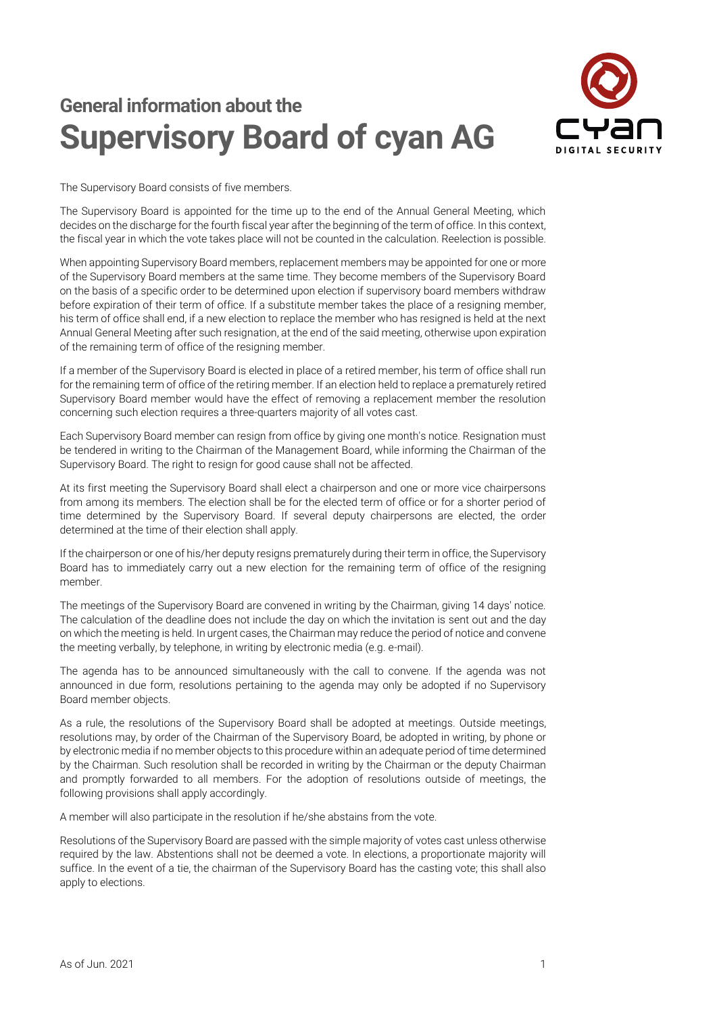## **General information about the Supervisory Board of cyan AG**



The Supervisory Board consists of five members.

The Supervisory Board is appointed for the time up to the end of the Annual General Meeting, which decides on the discharge for the fourth fiscal year after the beginning of the term of office. In this context, the fiscal year in which the vote takes place will not be counted in the calculation. Reelection is possible.

When appointing Supervisory Board members, replacement members may be appointed for one or more of the Supervisory Board members at the same time. They become members of the Supervisory Board on the basis of a specific order to be determined upon election if supervisory board members withdraw before expiration of their term of office. If a substitute member takes the place of a resigning member, his term of office shall end, if a new election to replace the member who has resigned is held at the next Annual General Meeting after such resignation, at the end of the said meeting, otherwise upon expiration of the remaining term of office of the resigning member.

If a member of the Supervisory Board is elected in place of a retired member, his term of office shall run for the remaining term of office of the retiring member. If an election held to replace a prematurely retired Supervisory Board member would have the effect of removing a replacement member the resolution concerning such election requires a three-quarters majority of all votes cast.

Each Supervisory Board member can resign from office by giving one month's notice. Resignation must be tendered in writing to the Chairman of the Management Board, while informing the Chairman of the Supervisory Board. The right to resign for good cause shall not be affected.

At its first meeting the Supervisory Board shall elect a chairperson and one or more vice chairpersons from among its members. The election shall be for the elected term of office or for a shorter period of time determined by the Supervisory Board. If several deputy chairpersons are elected, the order determined at the time of their election shall apply.

If the chairperson or one of his/her deputy resigns prematurely during their term in office, the Supervisory Board has to immediately carry out a new election for the remaining term of office of the resigning member.

The meetings of the Supervisory Board are convened in writing by the Chairman, giving 14 days' notice. The calculation of the deadline does not include the day on which the invitation is sent out and the day on which the meeting is held. In urgent cases, the Chairman may reduce the period of notice and convene the meeting verbally, by telephone, in writing by electronic media (e.g. e-mail).

The agenda has to be announced simultaneously with the call to convene. If the agenda was not announced in due form, resolutions pertaining to the agenda may only be adopted if no Supervisory Board member objects.

As a rule, the resolutions of the Supervisory Board shall be adopted at meetings. Outside meetings, resolutions may, by order of the Chairman of the Supervisory Board, be adopted in writing, by phone or by electronic media if no member objects to this procedure within an adequate period of time determined by the Chairman. Such resolution shall be recorded in writing by the Chairman or the deputy Chairman and promptly forwarded to all members. For the adoption of resolutions outside of meetings, the following provisions shall apply accordingly.

A member will also participate in the resolution if he/she abstains from the vote.

Resolutions of the Supervisory Board are passed with the simple majority of votes cast unless otherwise required by the law. Abstentions shall not be deemed a vote. In elections, a proportionate majority will suffice. In the event of a tie, the chairman of the Supervisory Board has the casting vote; this shall also apply to elections.